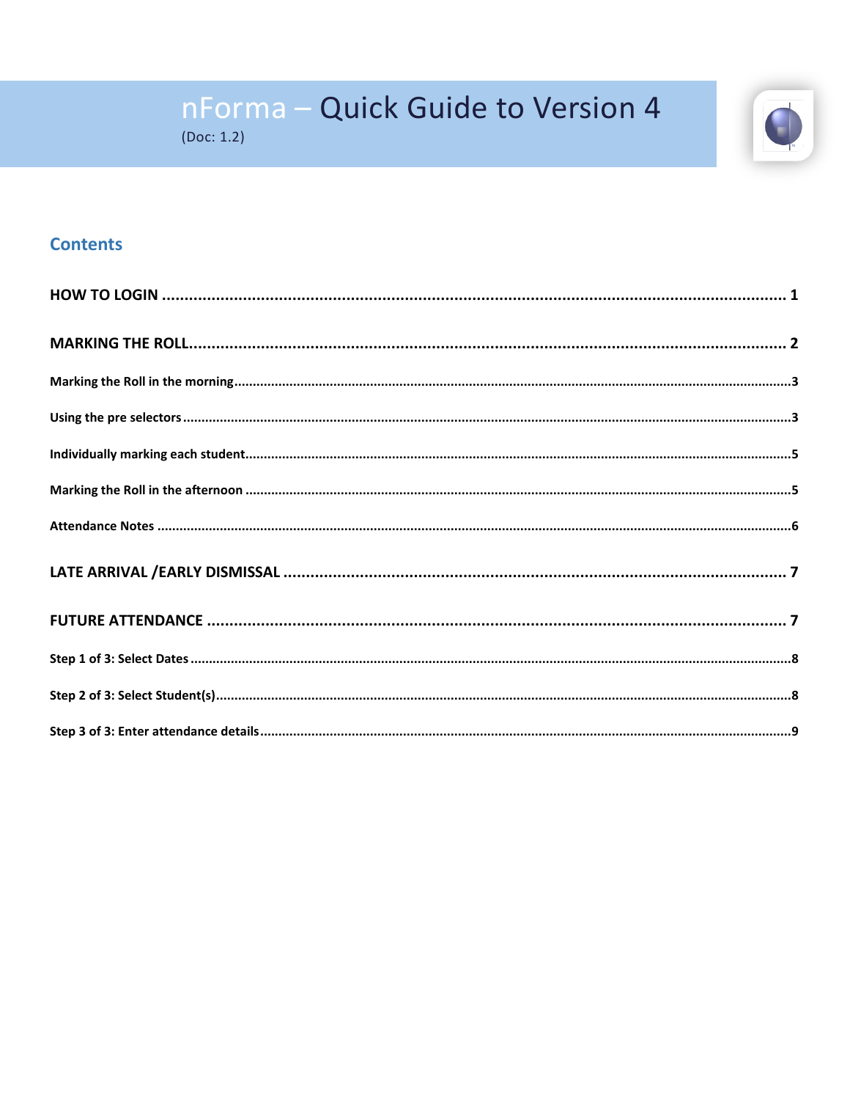

# nForma - Quick Guide to Version 4

 $(Doc: 1.2)$ 

# **Contents**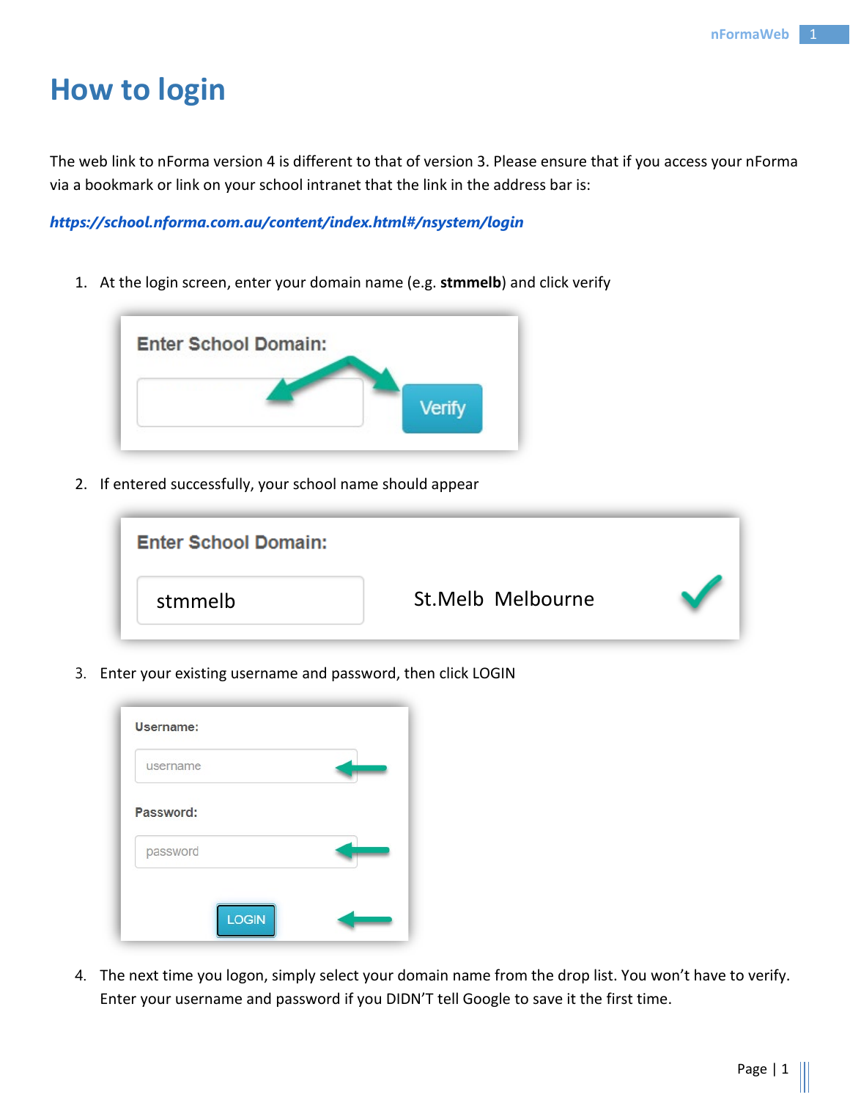# <span id="page-1-0"></span>**How to login**

The web link to nForma version 4 is different to that of version 3. Please ensure that if you access your nForma via a bookmark or link on your school intranet that the link in the address bar is:

*https://school.nforma.com.au/content/index.html#/nsystem/login*

1. At the login screen, enter your domain name (e.g. **stmmelb**) and click verify



2. If entered successfully, your school name should appear



3. Enter your existing username and password, then click LOGIN

4. The next time you logon, simply select your domain name from the drop list. You won't have to verify. Enter your username and password if you DIDN'T tell Google to save it the first time.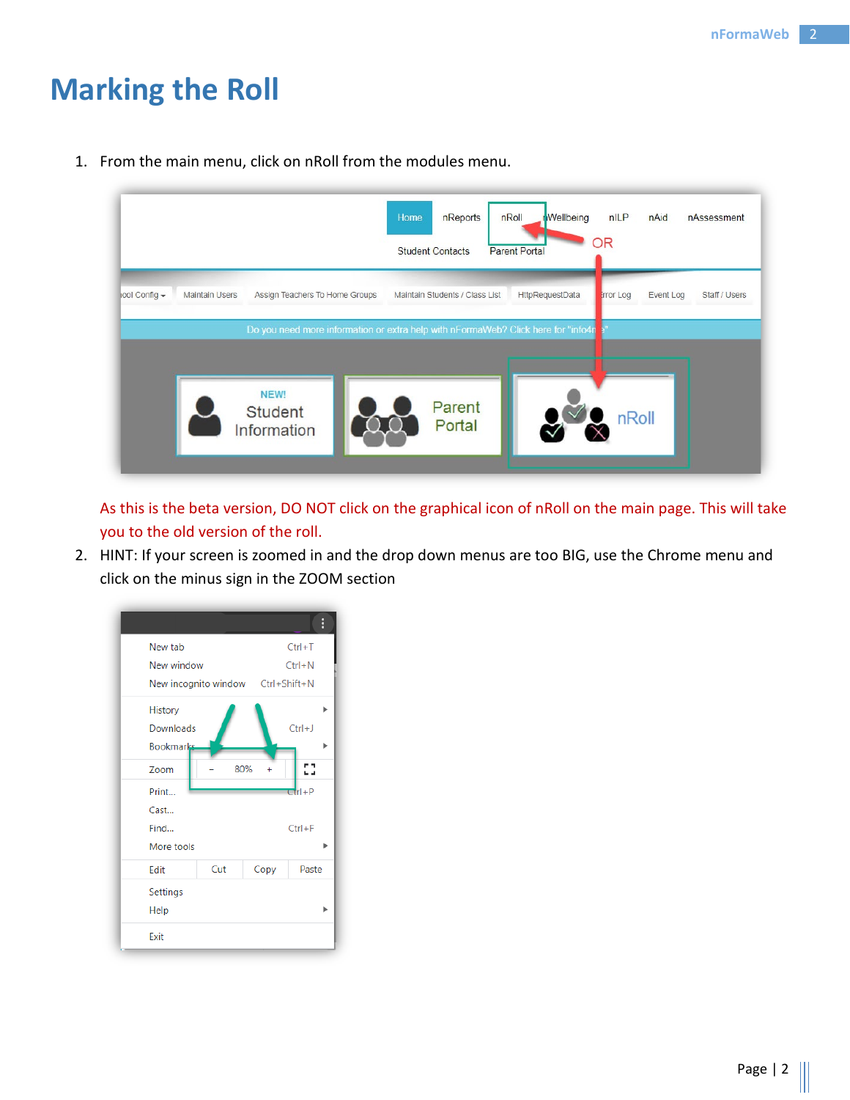# <span id="page-2-0"></span>**Marking the Roll**

1. From the main menu, click on nRoll from the modules menu.



As this is the beta version, DO NOT click on the graphical icon of nRoll on the main page. This will take you to the old version of the roll.

2. HINT: If your screen is zoomed in and the drop down menus are too BIG, use the Chrome menu and click on the minus sign in the ZOOM section

|                                          |                                   |           | H          |
|------------------------------------------|-----------------------------------|-----------|------------|
| New tab                                  |                                   |           | $Ctrl + T$ |
| New window                               |                                   |           | $Ctrl + N$ |
|                                          | New incognito window Ctrl+Shift+N |           |            |
| History<br>Downloads<br><b>Bookmarks</b> |                                   |           | $Ctrl + J$ |
| Zoom                                     | 80%                               | $\ddot{}$ | Ω          |
| Print<br>Cast                            |                                   |           | $Ctrl + P$ |
| Find                                     |                                   |           | $Ctrl + F$ |
| More tools                               |                                   |           |            |
| Edit                                     | Cut                               | Copy      | Paste      |
| Settings                                 |                                   |           |            |
| Help                                     |                                   |           |            |
| Exit                                     |                                   |           |            |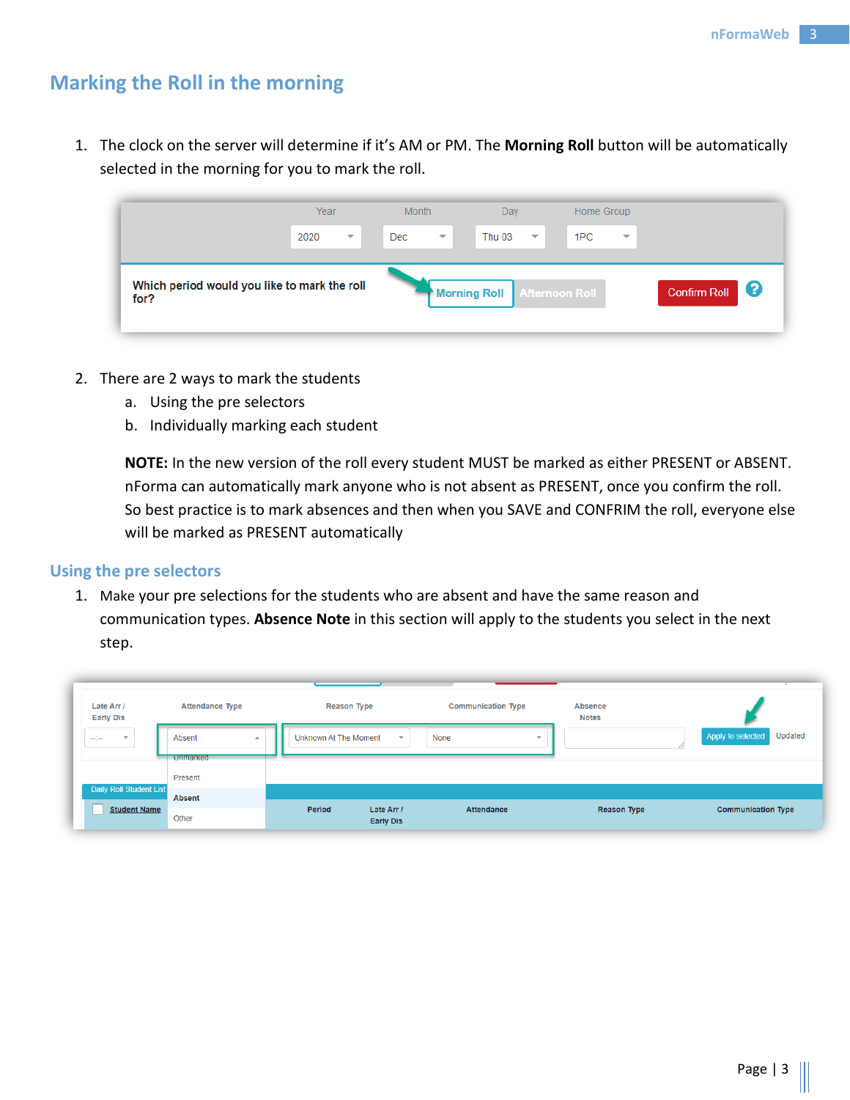# <span id="page-3-0"></span>**Marking the Roll in the morning**

1. The clock on the server will determine if it's AM or PM. The **Morning Roll** button will be automatically selected in the morning for you to mark the roll.

|                                                      | Year                             | <b>Month</b>                   | Day                                      | Home Group                      |                            |
|------------------------------------------------------|----------------------------------|--------------------------------|------------------------------------------|---------------------------------|----------------------------|
|                                                      | 2020<br>$\overline{\phantom{m}}$ | Dec<br>$\overline{\mathbf{v}}$ | <b>Thu 03</b><br>$\overline{\mathbf{v}}$ | 1PC<br>$\overline{\phantom{m}}$ |                            |
| Which period would you like to mark the roll<br>for? |                                  |                                | <b>Morning Roll</b>                      | <b>Afternoon Roll</b>           | - 2<br><b>Confirm Roll</b> |

- 2. There are 2 ways to mark the students
	- a. Using the pre selectors
	- b. Individually marking each student

**NOTE:** In the new version of the roll every student MUST be marked as either PRESENT or ABSENT. nForma can automatically mark anyone who is not absent as PRESENT, once you confirm the roll. So best practice is to mark absences and then when you SAVE and CONFRIM the roll, everyone else will be marked as PRESENT automatically

#### <span id="page-3-1"></span>**Using the pre selectors**

1. Make your pre selections for the students who are absent and have the same reason and communication types. **Absence Note** in this section will apply to the students you select in the next step.

| Late Arr /<br><b>Early Dis</b>   | <b>Attendance Type</b>                        | <b>Reason Type</b>                       | <b>Communication Type</b>       | <b>Absence</b><br><b>Notes</b> |                               |
|----------------------------------|-----------------------------------------------|------------------------------------------|---------------------------------|--------------------------------|-------------------------------|
| $\overline{\phantom{a}}$<br>سيسا | Absent<br>$\blacktriangle$<br><b>Unmarked</b> | <b>Unknown At The Moment</b>             | None<br>$\overline{\mathbf{v}}$ | $\overline{\phantom{a}}$<br>// | Updated:<br>Apply to selected |
|                                  | Present                                       |                                          |                                 |                                |                               |
| Daily Roll Student List          | Absent                                        |                                          |                                 |                                |                               |
| <b>Student Name</b>              | Other                                         | Period<br>Late Arr /<br><b>Early Dis</b> | Attendance                      | Reason Type                    | <b>Communication Type</b>     |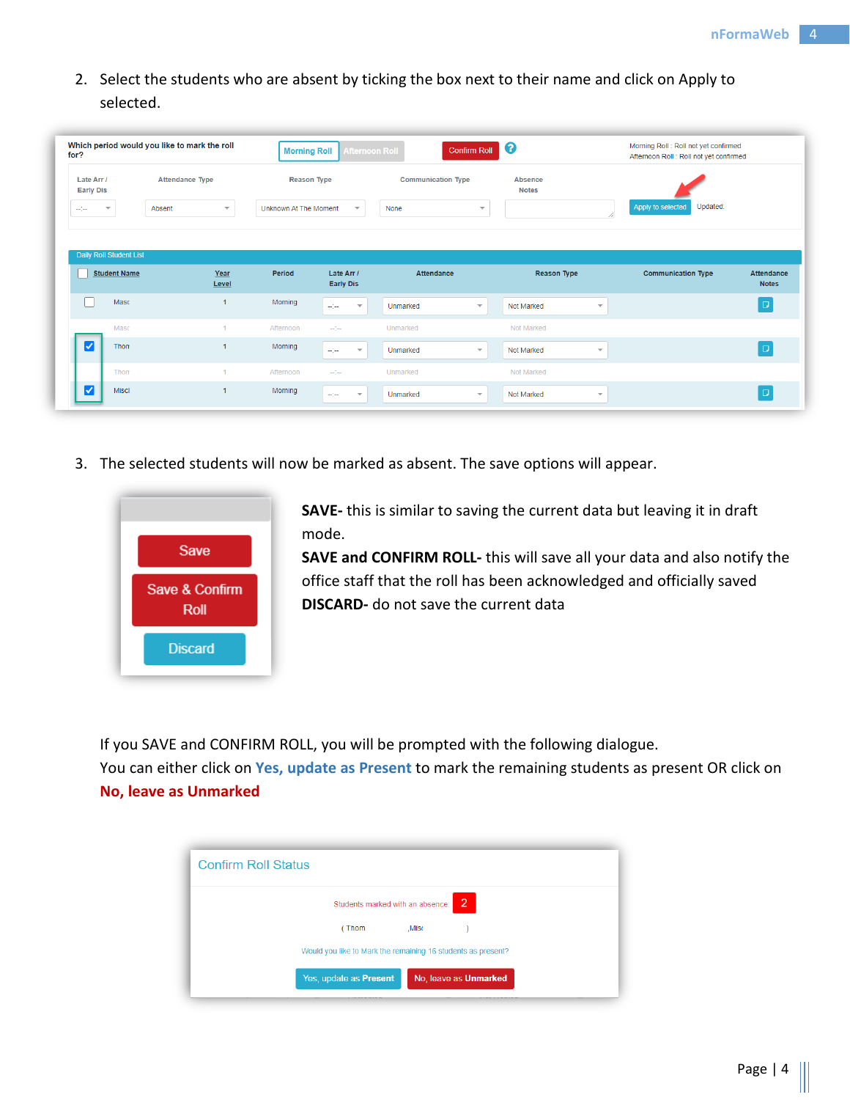2. Select the students who are absent by ticking the box next to their name and click on Apply to selected.

| for?                                                                                      | Which period would you like to mark the roll | <b>Morning Roll</b>          | <b>Afternoon Roll</b>                                                                                                                                                                                                                                                                                                                                                                                              | <b>Confirm Roll</b>                 | $\blacktriangleleft$ $\bm{\Theta}$    | Morning Roll : Roll not yet confirmed<br>Afternoon Roll : Roll not yet confirmed |              |
|-------------------------------------------------------------------------------------------|----------------------------------------------|------------------------------|--------------------------------------------------------------------------------------------------------------------------------------------------------------------------------------------------------------------------------------------------------------------------------------------------------------------------------------------------------------------------------------------------------------------|-------------------------------------|---------------------------------------|----------------------------------------------------------------------------------|--------------|
| Late Arr /<br><b>Early Dis</b>                                                            | <b>Attendance Type</b>                       | <b>Reason Type</b>           |                                                                                                                                                                                                                                                                                                                                                                                                                    | <b>Communication Type</b>           | <b>Absence</b><br><b>Notes</b>        |                                                                                  |              |
| $\overline{\phantom{a}}$<br>$\frac{1}{2} \frac{1}{2} \frac{1}{2} \frac{1}{2} \frac{1}{2}$ | Absent<br>$\overline{\mathbf{v}}$            | <b>Unknown At The Moment</b> | $\overline{\mathbf{v}}$                                                                                                                                                                                                                                                                                                                                                                                            | None<br>$\overline{\phantom{a}}$    |                                       | Updated:<br>Apply to selected                                                    |              |
| Daily Roll Student List                                                                   |                                              |                              |                                                                                                                                                                                                                                                                                                                                                                                                                    |                                     |                                       |                                                                                  |              |
| <b>Student Name</b>                                                                       | Year                                         | Period                       | Late Arr /                                                                                                                                                                                                                                                                                                                                                                                                         | Attendance                          | Reason Type                           | <b>Communication Type</b>                                                        | Attendance   |
|                                                                                           | Level                                        |                              | <b>Early Dis</b>                                                                                                                                                                                                                                                                                                                                                                                                   |                                     |                                       |                                                                                  |              |
| Masc                                                                                      | $\overline{1}$                               | Morning                      | $\frac{1}{2} \sum_{i=1}^{n} \frac{1}{2} \sum_{i=1}^{n} \frac{1}{2} \sum_{i=1}^{n} \frac{1}{2} \sum_{i=1}^{n} \frac{1}{2} \sum_{i=1}^{n} \frac{1}{2} \sum_{i=1}^{n} \frac{1}{2} \sum_{i=1}^{n} \frac{1}{2} \sum_{i=1}^{n} \frac{1}{2} \sum_{i=1}^{n} \frac{1}{2} \sum_{i=1}^{n} \frac{1}{2} \sum_{i=1}^{n} \frac{1}{2} \sum_{i=1}^{n} \frac{1}{2} \sum_{i=1}^{n$<br>$\overline{\mathbf{v}}$                         | Unmarked<br>$\overline{\mathbf{v}}$ | Not Marked<br>$\overline{\mathbf{v}}$ |                                                                                  | D,           |
| Masc                                                                                      | $\mathbf{1}$                                 | Afternoon                    | $\frac{1}{2} \left( \frac{1}{2} \right) \frac{1}{2} \left( \frac{1}{2} \right) \frac{1}{2} \left( \frac{1}{2} \right) \frac{1}{2} \frac{1}{2} \left( \frac{1}{2} \right) \frac{1}{2} \frac{1}{2} \left( \frac{1}{2} \right) \frac{1}{2} \frac{1}{2} \frac{1}{2} \frac{1}{2} \frac{1}{2} \frac{1}{2} \frac{1}{2} \frac{1}{2} \frac{1}{2} \frac{1}{2} \frac{1}{2} \frac{1}{2} \frac{1}{2} \frac{1}{2} \frac{1}{2} \$ | Unmarked                            | Not Marked                            |                                                                                  | <b>Notes</b> |
| $\overline{\mathbf{v}}$<br>Thon                                                           | $\overline{1}$                               | Morning                      | $\omega_{\rm c}$<br>$\mathbf{v}$                                                                                                                                                                                                                                                                                                                                                                                   | $\mathbf{v}$<br>Unmarked            | Not Marked<br>$\mathbf{v}$            |                                                                                  | $\Box$       |
| Thom                                                                                      |                                              | Afternoon                    | $\frac{1}{2} \frac{1}{2} \frac{1}{2} \frac{1}{2}$                                                                                                                                                                                                                                                                                                                                                                  | Unmarked                            | Not Marked                            |                                                                                  |              |

3. The selected students will now be marked as absent. The save options will appear.



**SAVE-** this is similar to saving the current data but leaving it in draft mode.

**SAVE and CONFIRM ROLL-** this will save all your data and also notify the office staff that the roll has been acknowledged and officially saved **DISCARD-** do not save the current data

If you SAVE and CONFIRM ROLL, you will be prompted with the following dialogue.

You can either click on **Yes, update as Present** to mark the remaining students as present OR click on **No, leave as Unmarked**

| <b>Confirm Roll Status</b>                                   |  |
|--------------------------------------------------------------|--|
| $\overline{2}$<br>Students marked with an absence:           |  |
| (Thom<br>.Misc                                               |  |
| Would you like to Mark the remaining 16 students as present? |  |
| Yes, update as <b>Present</b><br>No, leave as Unmarked       |  |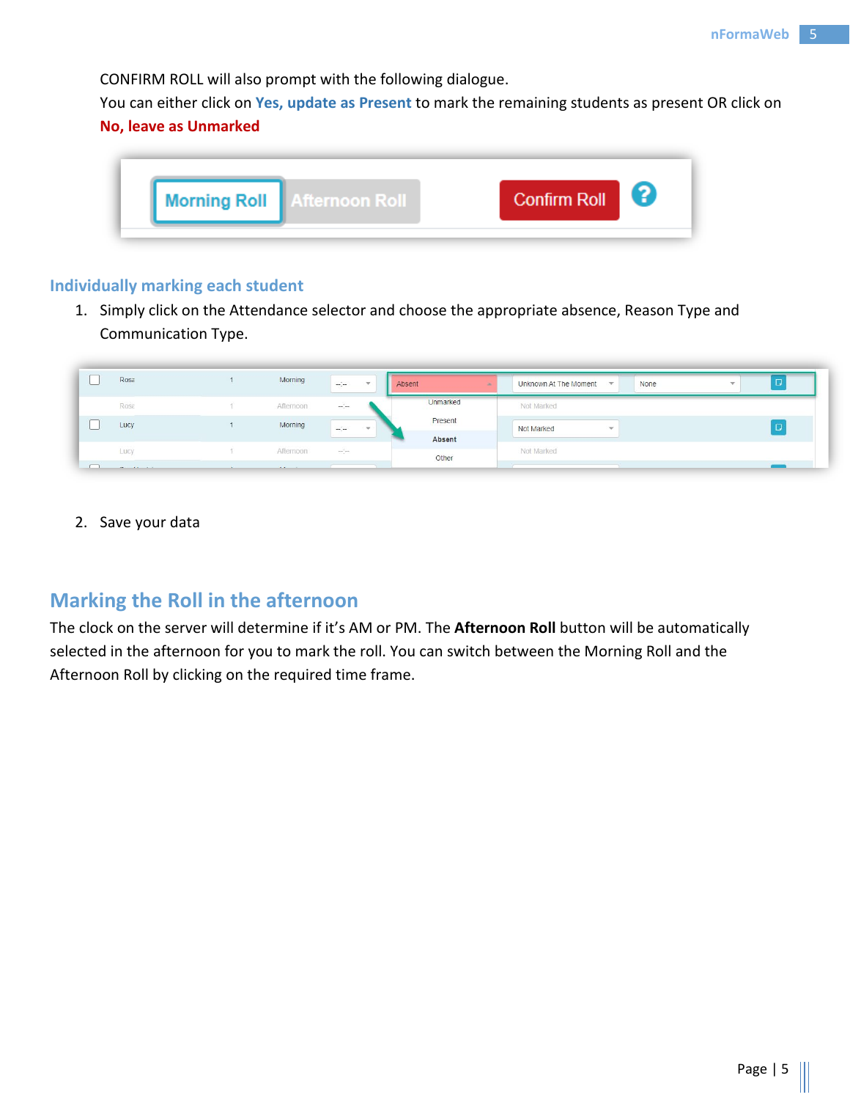CONFIRM ROLL will also prompt with the following dialogue.

You can either click on **Yes, update as Present** to mark the remaining students as present OR click on **No, leave as Unmarked**



#### <span id="page-5-0"></span>**Individually marking each student**

1. Simply click on the Attendance selector and choose the appropriate absence, Reason Type and Communication Type.

|                          | Rosa                       | Morning                  | $\frac{1}{2}$ | $-$    | Absent            | Unknown At The Moment<br>None<br>$\overline{\mathbf{v}}$ |  |
|--------------------------|----------------------------|--------------------------|---------------|--------|-------------------|----------------------------------------------------------|--|
|                          | Rosa                       | Afternoon                | $\frac{1}{2}$ |        | Unmarked          | Not Marked                                               |  |
|                          | Lucy                       | Morning                  | $\sim$        | $\sim$ | Present<br>Absent | Not Marked<br>$\overline{\phantom{a}}$                   |  |
|                          | Lucy                       | Afternoon                | $\frac{1}{2}$ |        | Other             | Not Marked                                               |  |
| $\overline{\phantom{a}}$ | the company of the company | <b>Contract Contract</b> |               |        |                   |                                                          |  |

2. Save your data

# <span id="page-5-1"></span>**Marking the Roll in the afternoon**

The clock on the server will determine if it's AM or PM. The **Afternoon Roll** button will be automatically selected in the afternoon for you to mark the roll. You can switch between the Morning Roll and the Afternoon Roll by clicking on the required time frame.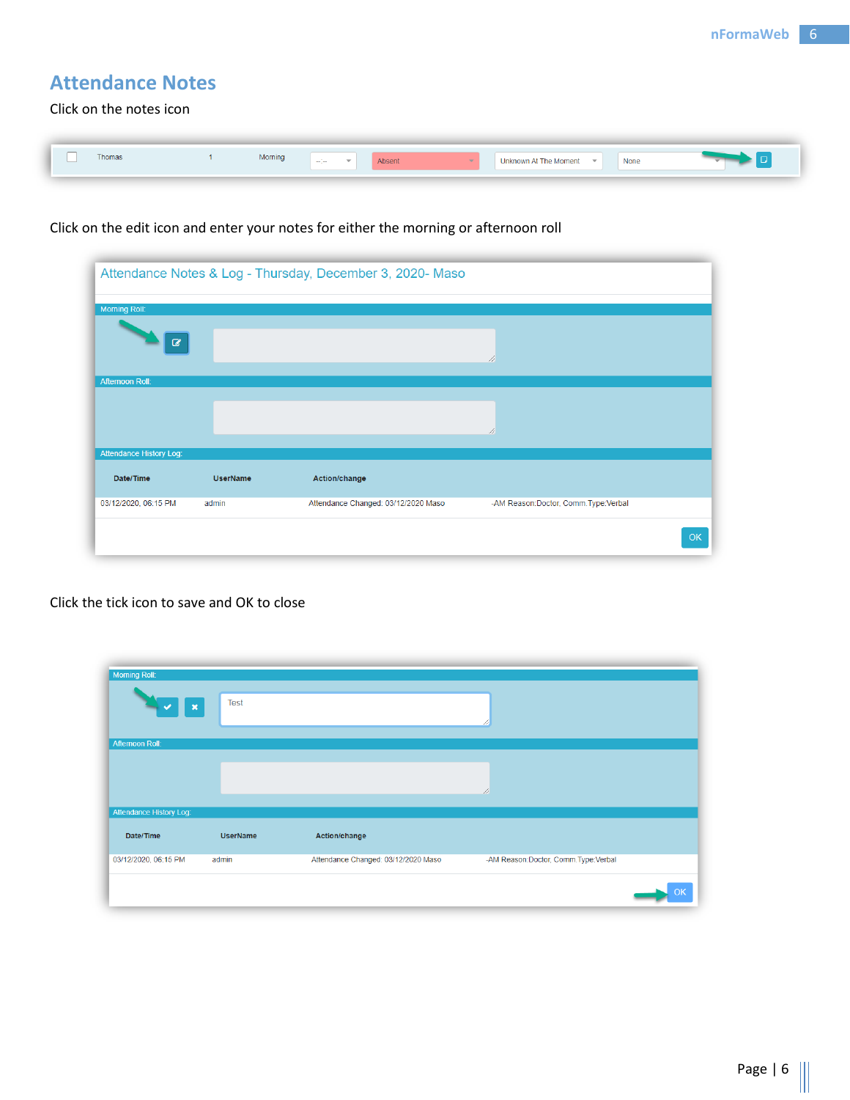# <span id="page-6-0"></span>**Attendance Notes**

Click on the notes icon

| $\overline{\phantom{a}}$ | Thomas | Morning | $\frac{1}{2}$ | Absent | <b>Unknown At The Moment</b> | $\overline{\phantom{a}}$ | None |  |
|--------------------------|--------|---------|---------------|--------|------------------------------|--------------------------|------|--|
|                          |        |         |               |        |                              |                          |      |  |

## Click on the edit icon and enter your notes for either the morning or afternoon roll

|                                |                 | Attendance Notes & Log - Thursday, December 3, 2020- Maso |                                     |    |
|--------------------------------|-----------------|-----------------------------------------------------------|-------------------------------------|----|
| Morning Roll:                  |                 |                                                           |                                     |    |
| $\mathbf{z}$                   |                 |                                                           | //                                  |    |
| <b>Aftemoon Roll:</b>          |                 |                                                           |                                     |    |
|                                |                 |                                                           |                                     |    |
|                                |                 |                                                           | //                                  |    |
| <b>Attendance History Log:</b> |                 |                                                           |                                     |    |
| Date/Time                      | <b>UserName</b> | Action/change                                             |                                     |    |
| 03/12/2020, 06:15 PM           | admin           | Attendance Changed: 03/12/2020 Maso                       | -AM Reason:Doctor, Comm.Type:Verbal |    |
|                                |                 |                                                           |                                     | OK |
|                                |                 |                                                           |                                     |    |

#### Click the tick icon to save and OK to close

| Morning Roll:<br>$\boldsymbol{\mathsf{x}}$<br>u | <b>Test</b>     |                                     |                                     |    |
|-------------------------------------------------|-----------------|-------------------------------------|-------------------------------------|----|
| <b>Aftemoon Roll:</b>                           |                 |                                     |                                     |    |
|                                                 |                 |                                     | //                                  |    |
| <b>Attendance History Log:</b>                  |                 |                                     |                                     |    |
| Date/Time                                       | <b>UserName</b> | Action/change                       |                                     |    |
| 03/12/2020, 06:15 PM                            | admin           | Attendance Changed: 03/12/2020 Maso | -AM Reason:Doctor, Comm.Type:Verbal |    |
|                                                 |                 |                                     |                                     | ЭK |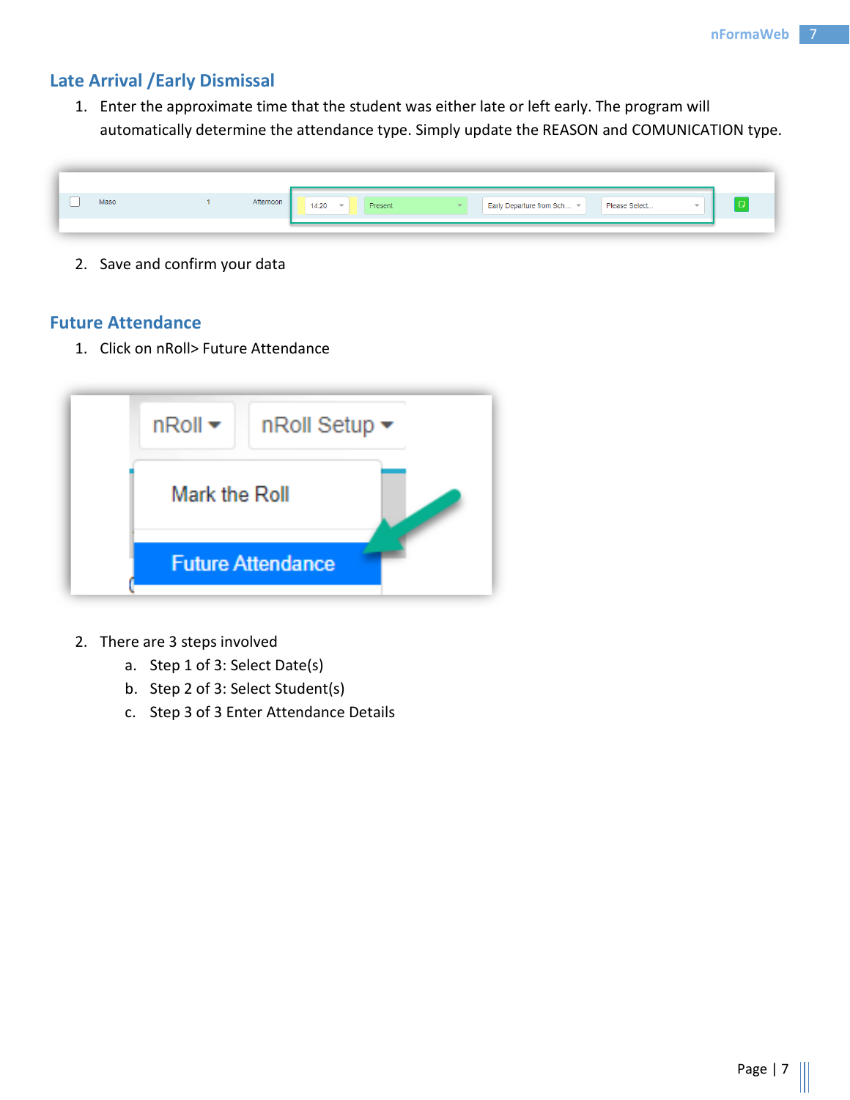# <span id="page-7-0"></span>**Late Arrival /Early Dismissal**

1. Enter the approximate time that the student was either late or left early. The program will automatically determine the attendance type. Simply update the REASON and COMUNICATION type.

| _<br>Afternoon<br>Maso<br>Early Departure from Sch ~<br>Please Select<br>14:20<br>Present<br>÷<br>$-$ |
|-------------------------------------------------------------------------------------------------------|
|-------------------------------------------------------------------------------------------------------|

2. Save and confirm your data

### <span id="page-7-1"></span>**Future Attendance**

1. Click on nRoll> Future Attendance



- 2. There are 3 steps involved
	- a. Step 1 of 3: Select Date(s)
	- b. Step 2 of 3: Select Student(s)
	- c. Step 3 of 3 Enter Attendance Details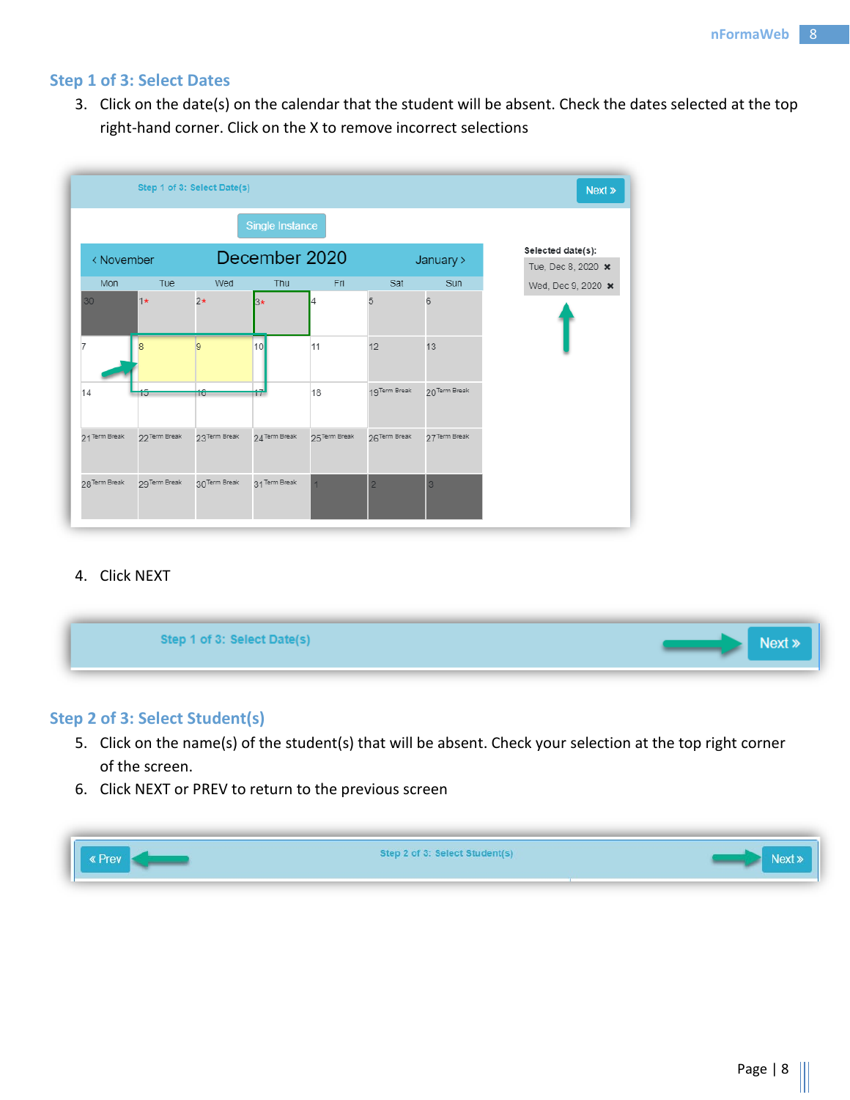#### <span id="page-8-0"></span>**Step 1 of 3: Select Dates**

3. Click on the date(s) on the calendar that the student will be absent. Check the dates selected at the top right-hand corner. Click on the X to remove incorrect selections



#### 4. Click NEXT

| Step 1 of 3: Select Date(s) |
|-----------------------------|
|-----------------------------|

### <span id="page-8-1"></span>**Step 2 of 3: Select Student(s)**

- 5. Click on the name(s) of the student(s) that will be absent. Check your selection at the top right corner of the screen.
- 6. Click NEXT or PREV to return to the previous screen

| Ш<br>ev | en 2 of 31 Select Studentis<br><b>AND A ALL AND AND AND AND AND A</b> |  |
|---------|-----------------------------------------------------------------------|--|